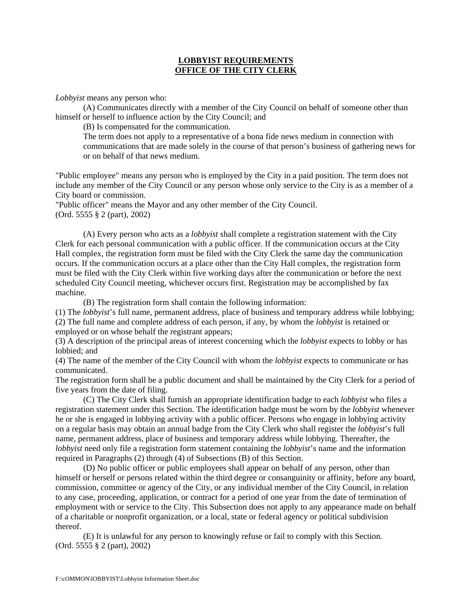## **LOBBYIST REQUIREMENTS OFFICE OF THE CITY CLERK**

*Lobbyist* means any person who:

 (A) Communicates directly with a member of the City Council on behalf of someone other than himself or herself to influence action by the City Council; and

(B) Is compensated for the communication.

 The term does not apply to a representative of a bona fide news medium in connection with communications that are made solely in the course of that person's business of gathering news for or on behalf of that news medium.

"Public employee" means any person who is employed by the City in a paid position. The term does not include any member of the City Council or any person whose only service to the City is as a member of a City board or commission.

"Public officer" means the Mayor and any other member of the City Council. (Ord. 5555 § 2 (part), 2002)

 (A) Every person who acts as a *lobbyist* shall complete a registration statement with the City Clerk for each personal communication with a public officer. If the communication occurs at the City Hall complex, the registration form must be filed with the City Clerk the same day the communication occurs. If the communication occurs at a place other than the City Hall complex, the registration form must be filed with the City Clerk within five working days after the communication or before the next scheduled City Council meeting, whichever occurs first. Registration may be accomplished by fax machine.

(B) The registration form shall contain the following information:

(1) The *lobbyist*'s full name, permanent address, place of business and temporary address while lobbying; (2) The full name and complete address of each person, if any, by whom the *lobbyist* is retained or employed or on whose behalf the registrant appears;

(3) A description of the principal areas of interest concerning which the *lobbyist* expects to lobby or has lobbied; and

(4) The name of the member of the City Council with whom the *lobbyist* expects to communicate or has communicated.

The registration form shall be a public document and shall be maintained by the City Clerk for a period of five years from the date of filing.

 (C) The City Clerk shall furnish an appropriate identification badge to each *lobbyist* who files a registration statement under this Section. The identification badge must be worn by the *lobbyist* whenever he or she is engaged in lobbying activity with a public officer. Persons who engage in lobbying activity on a regular basis may obtain an annual badge from the City Clerk who shall register the *lobbyist*'s full name, permanent address, place of business and temporary address while lobbying. Thereafter, the *lobbyist* need only file a registration form statement containing the *lobbyist*'s name and the information required in Paragraphs (2) through (4) of Subsections (B) of this Section.

 (D) No public officer or public employees shall appear on behalf of any person, other than himself or herself or persons related within the third degree or consanguinity or affinity, before any board, commission, committee or agency of the City, or any individual member of the City Council, in relation to any case, proceeding, application, or contract for a period of one year from the date of termination of employment with or service to the City. This Subsection does not apply to any appearance made on behalf of a charitable or nonprofit organization, or a local, state or federal agency or political subdivision thereof.

 (E) It is unlawful for any person to knowingly refuse or fail to comply with this Section. (Ord. 5555 § 2 (part), 2002)